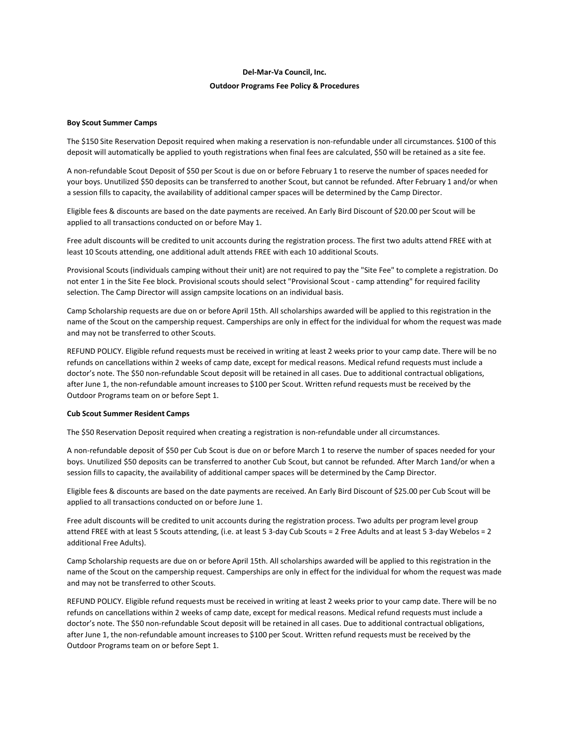# **Del‐Mar‐Va Council, Inc. Outdoor Programs Fee Policy & Procedures**

## **Boy Scout Summer Camps**

The \$150 Site Reservation Deposit required when making a reservation is non-refundable under all circumstances. \$100 of this deposit will automatically be applied to youth registrations when final fees are calculated, \$50 will be retained as a site fee.

A non‐refundable Scout Deposit of \$50 per Scout is due on or before February 1 to reserve the number of spaces needed for your boys. Unutilized \$50 deposits can be transferred to another Scout, but cannot be refunded. After February 1 and/or when a session fills to capacity, the availability of additional camper spaces will be determined by the Camp Director.

Eligible fees & discounts are based on the date payments are received. An Early Bird Discount of \$20.00 per Scout will be applied to all transactions conducted on or before May 1.

Free adult discounts will be credited to unit accounts during the registration process. The first two adults attend FREE with at least 10 Scouts attending, one additional adult attends FREE with each 10 additional Scouts.

Provisional Scouts (individuals camping without their unit) are not required to pay the "Site Fee" to complete a registration. Do not enter 1 in the Site Fee block. Provisional scouts should select "Provisional Scout ‐ camp attending" for required facility selection. The Camp Director will assign campsite locations on an individual basis.

Camp Scholarship requests are due on or before April 15th. All scholarships awarded will be applied to this registration in the name of the Scout on the campership request. Camperships are only in effect for the individual for whom the request was made and may not be transferred to other Scouts.

REFUND POLICY. Eligible refund requests must be received in writing at least 2 weeks prior to your camp date. There will be no refunds on cancellations within 2 weeks of camp date, except for medical reasons. Medical refund requests must include a doctor's note. The \$50 non‐refundable Scout deposit will be retained in all cases. Due to additional contractual obligations, after June 1, the non‐refundable amount increases to \$100 per Scout. Written refund requests must be received by the Outdoor Programsteam on or before Sept 1.

#### **Cub Scout Summer Resident Camps**

The \$50 Reservation Deposit required when creating a registration is non-refundable under all circumstances.

A non‐refundable deposit of \$50 per Cub Scout is due on or before March 1 to reserve the number of spaces needed for your boys. Unutilized \$50 deposits can be transferred to another Cub Scout, but cannot be refunded. After March 1and/or when a session fills to capacity, the availability of additional camper spaces will be determined by the Camp Director.

Eligible fees & discounts are based on the date payments are received. An Early Bird Discount of \$25.00 per Cub Scout will be applied to all transactions conducted on or before June 1.

Free adult discounts will be credited to unit accounts during the registration process. Two adults per program level group attend FREE with at least 5 Scouts attending, (i.e. at least 5 3‐day Cub Scouts = 2 Free Adults and at least 5 3‐day Webelos = 2 additional Free Adults).

Camp Scholarship requests are due on or before April 15th. All scholarships awarded will be applied to this registration in the name of the Scout on the campership request. Camperships are only in effect for the individual for whom the request was made and may not be transferred to other Scouts.

REFUND POLICY. Eligible refund requests must be received in writing at least 2 weeks prior to your camp date. There will be no refunds on cancellations within 2 weeks of camp date, except for medical reasons. Medical refund requests must include a doctor's note. The \$50 non-refundable Scout deposit will be retained in all cases. Due to additional contractual obligations, after June 1, the non‐refundable amount increases to \$100 per Scout. Written refund requests must be received by the Outdoor Programsteam on or before Sept 1.